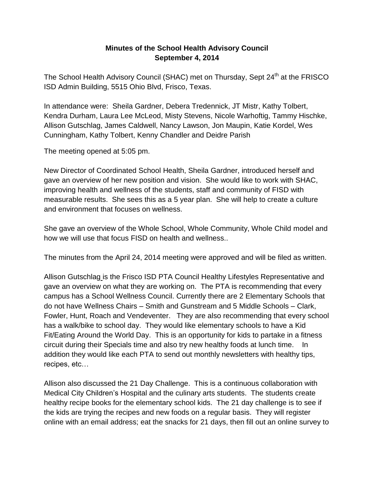## **Minutes of the School Health Advisory Council September 4, 2014**

The School Health Advisory Council (SHAC) met on Thursday, Sept 24<sup>th</sup> at the FRISCO ISD Admin Building, 5515 Ohio Blvd, Frisco, Texas.

In attendance were: Sheila Gardner, Debera Tredennick, JT Mistr, Kathy Tolbert, Kendra Durham, Laura Lee McLeod, Misty Stevens, Nicole Warhoftig, Tammy Hischke, Allison Gutschlag, James Caldwell, Nancy Lawson, Jon Maupin, Katie Kordel, Wes Cunningham, Kathy Tolbert, Kenny Chandler and Deidre Parish

The meeting opened at 5:05 pm.

New Director of Coordinated School Health, Sheila Gardner, introduced herself and gave an overview of her new position and vision. She would like to work with SHAC, improving health and wellness of the students, staff and community of FISD with measurable results. She sees this as a 5 year plan. She will help to create a culture and environment that focuses on wellness.

She gave an overview of the Whole School, Whole Community, Whole Child model and how we will use that focus FISD on health and wellness..

The minutes from the April 24, 2014 meeting were approved and will be filed as written.

Allison Gutschlag is the Frisco ISD PTA Council Healthy Lifestyles Representative and gave an overview on what they are working on. The PTA is recommending that every campus has a School Wellness Council. Currently there are 2 Elementary Schools that do not have Wellness Chairs – Smith and Gunstream and 5 Middle Schools – Clark, Fowler, Hunt, Roach and Vendeventer. They are also recommending that every school has a walk/bike to school day. They would like elementary schools to have a Kid Fit/Eating Around the World Day. This is an opportunity for kids to partake in a fitness circuit during their Specials time and also try new healthy foods at lunch time. In addition they would like each PTA to send out monthly newsletters with healthy tips, recipes, etc…

Allison also discussed the 21 Day Challenge. This is a continuous collaboration with Medical City Children's Hospital and the culinary arts students. The students create healthy recipe books for the elementary school kids. The 21 day challenge is to see if the kids are trying the recipes and new foods on a regular basis. They will register online with an email address; eat the snacks for 21 days, then fill out an online survey to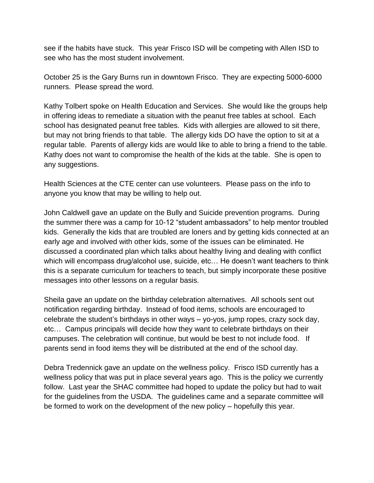see if the habits have stuck. This year Frisco ISD will be competing with Allen ISD to see who has the most student involvement.

October 25 is the Gary Burns run in downtown Frisco. They are expecting 5000-6000 runners. Please spread the word.

Kathy Tolbert spoke on Health Education and Services. She would like the groups help in offering ideas to remediate a situation with the peanut free tables at school. Each school has designated peanut free tables. Kids with allergies are allowed to sit there, but may not bring friends to that table. The allergy kids DO have the option to sit at a regular table. Parents of allergy kids are would like to able to bring a friend to the table. Kathy does not want to compromise the health of the kids at the table. She is open to any suggestions.

Health Sciences at the CTE center can use volunteers. Please pass on the info to anyone you know that may be willing to help out.

John Caldwell gave an update on the Bully and Suicide prevention programs. During the summer there was a camp for 10-12 "student ambassadors" to help mentor troubled kids. Generally the kids that are troubled are loners and by getting kids connected at an early age and involved with other kids, some of the issues can be eliminated. He discussed a coordinated plan which talks about healthy living and dealing with conflict which will encompass drug/alcohol use, suicide, etc... He doesn't want teachers to think this is a separate curriculum for teachers to teach, but simply incorporate these positive messages into other lessons on a regular basis.

Sheila gave an update on the birthday celebration alternatives. All schools sent out notification regarding birthday. Instead of food items, schools are encouraged to celebrate the student's birthdays in other ways – yo-yos, jump ropes, crazy sock day, etc… Campus principals will decide how they want to celebrate birthdays on their campuses. The celebration will continue, but would be best to not include food. If parents send in food items they will be distributed at the end of the school day.

Debra Tredennick gave an update on the wellness policy. Frisco ISD currently has a wellness policy that was put in place several years ago. This is the policy we currently follow. Last year the SHAC committee had hoped to update the policy but had to wait for the guidelines from the USDA. The guidelines came and a separate committee will be formed to work on the development of the new policy – hopefully this year.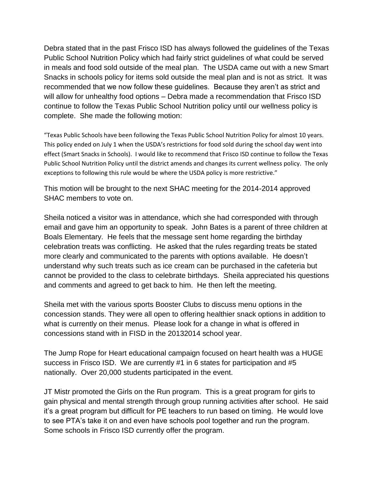Debra stated that in the past Frisco ISD has always followed the guidelines of the Texas Public School Nutrition Policy which had fairly strict guidelines of what could be served in meals and food sold outside of the meal plan. The USDA came out with a new Smart Snacks in schools policy for items sold outside the meal plan and is not as strict. It was recommended that we now follow these guidelines. Because they aren't as strict and will allow for unhealthy food options – Debra made a recommendation that Frisco ISD continue to follow the Texas Public School Nutrition policy until our wellness policy is complete. She made the following motion:

"Texas Public Schools have been following the Texas Public School Nutrition Policy for almost 10 years. This policy ended on July 1 when the USDA's restrictions for food sold during the school day went into effect (Smart Snacks in Schools). I would like to recommend that Frisco ISD continue to follow the Texas Public School Nutrition Policy until the district amends and changes its current wellness policy. The only exceptions to following this rule would be where the USDA policy is more restrictive."

This motion will be brought to the next SHAC meeting for the 2014-2014 approved SHAC members to vote on.

Sheila noticed a visitor was in attendance, which she had corresponded with through email and gave him an opportunity to speak. John Bates is a parent of three children at Boals Elementary. He feels that the message sent home regarding the birthday celebration treats was conflicting. He asked that the rules regarding treats be stated more clearly and communicated to the parents with options available. He doesn't understand why such treats such as ice cream can be purchased in the cafeteria but cannot be provided to the class to celebrate birthdays. Sheila appreciated his questions and comments and agreed to get back to him. He then left the meeting.

Sheila met with the various sports Booster Clubs to discuss menu options in the concession stands. They were all open to offering healthier snack options in addition to what is currently on their menus. Please look for a change in what is offered in concessions stand with in FISD in the 20132014 school year.

The Jump Rope for Heart educational campaign focused on heart health was a HUGE success in Frisco ISD. We are currently #1 in 6 states for participation and #5 nationally. Over 20,000 students participated in the event.

JT Mistr promoted the Girls on the Run program. This is a great program for girls to gain physical and mental strength through group running activities after school. He said it's a great program but difficult for PE teachers to run based on timing. He would love to see PTA's take it on and even have schools pool together and run the program. Some schools in Frisco ISD currently offer the program.